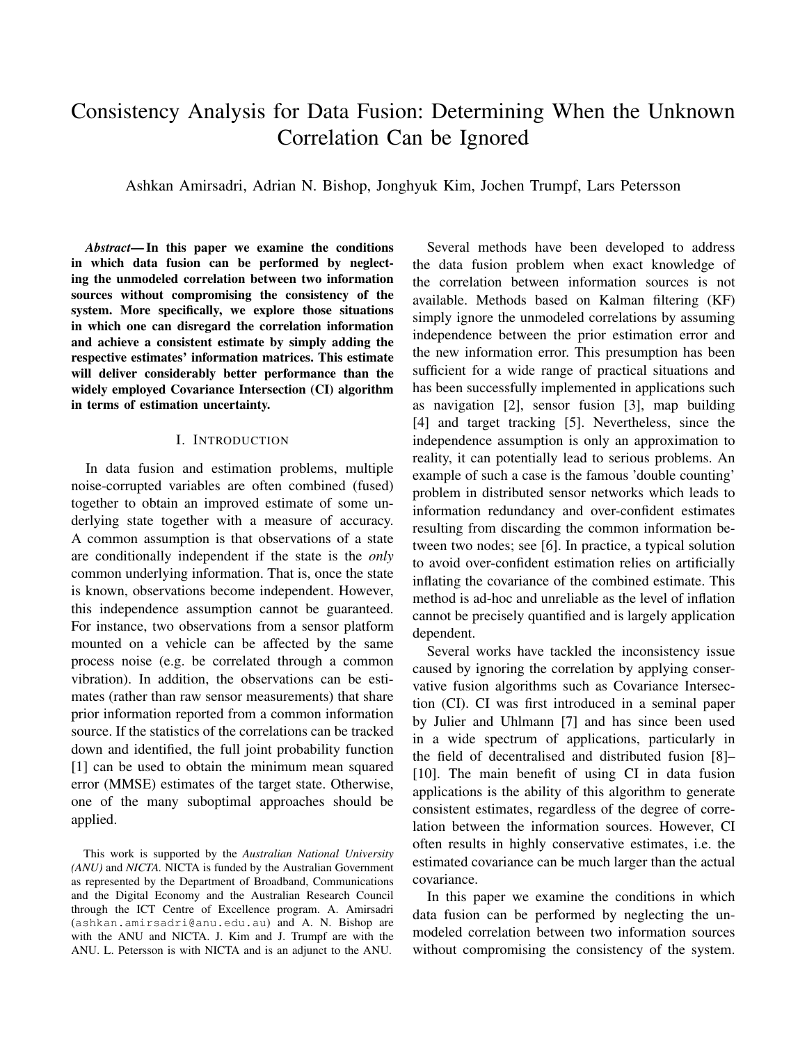# Consistency Analysis for Data Fusion: Determining When the Unknown Correlation Can be Ignored

Ashkan Amirsadri, Adrian N. Bishop, Jonghyuk Kim, Jochen Trumpf, Lars Petersson

*Abstract*— In this paper we examine the conditions in which data fusion can be performed by neglecting the unmodeled correlation between two information sources without compromising the consistency of the system. More specifically, we explore those situations in which one can disregard the correlation information and achieve a consistent estimate by simply adding the respective estimates' information matrices. This estimate will deliver considerably better performance than the widely employed Covariance Intersection (CI) algorithm in terms of estimation uncertainty.

#### I. INTRODUCTION

In data fusion and estimation problems, multiple noise-corrupted variables are often combined (fused) together to obtain an improved estimate of some underlying state together with a measure of accuracy. A common assumption is that observations of a state are conditionally independent if the state is the *only* common underlying information. That is, once the state is known, observations become independent. However, this independence assumption cannot be guaranteed. For instance, two observations from a sensor platform mounted on a vehicle can be affected by the same process noise (e.g. be correlated through a common vibration). In addition, the observations can be estimates (rather than raw sensor measurements) that share prior information reported from a common information source. If the statistics of the correlations can be tracked down and identified, the full joint probability function [1] can be used to obtain the minimum mean squared error (MMSE) estimates of the target state. Otherwise, one of the many suboptimal approaches should be applied.

This work is supported by the *Australian National University (ANU)* and *NICTA.* NICTA is funded by the Australian Government as represented by the Department of Broadband, Communications and the Digital Economy and the Australian Research Council through the ICT Centre of Excellence program. A. Amirsadri (ashkan.amirsadri@anu.edu.au) and A. N. Bishop are with the ANU and NICTA. J. Kim and J. Trumpf are with the ANU. L. Petersson is with NICTA and is an adjunct to the ANU.

Several methods have been developed to address the data fusion problem when exact knowledge of the correlation between information sources is not available. Methods based on Kalman filtering (KF) simply ignore the unmodeled correlations by assuming independence between the prior estimation error and the new information error. This presumption has been sufficient for a wide range of practical situations and has been successfully implemented in applications such as navigation [2], sensor fusion [3], map building [4] and target tracking [5]. Nevertheless, since the independence assumption is only an approximation to reality, it can potentially lead to serious problems. An example of such a case is the famous 'double counting' problem in distributed sensor networks which leads to information redundancy and over-confident estimates resulting from discarding the common information between two nodes; see [6]. In practice, a typical solution to avoid over-confident estimation relies on artificially inflating the covariance of the combined estimate. This method is ad-hoc and unreliable as the level of inflation cannot be precisely quantified and is largely application dependent.

Several works have tackled the inconsistency issue caused by ignoring the correlation by applying conservative fusion algorithms such as Covariance Intersection (CI). CI was first introduced in a seminal paper by Julier and Uhlmann [7] and has since been used in a wide spectrum of applications, particularly in the field of decentralised and distributed fusion [8]– [10]. The main benefit of using CI in data fusion applications is the ability of this algorithm to generate consistent estimates, regardless of the degree of correlation between the information sources. However, CI often results in highly conservative estimates, i.e. the estimated covariance can be much larger than the actual covariance.

In this paper we examine the conditions in which data fusion can be performed by neglecting the unmodeled correlation between two information sources without compromising the consistency of the system.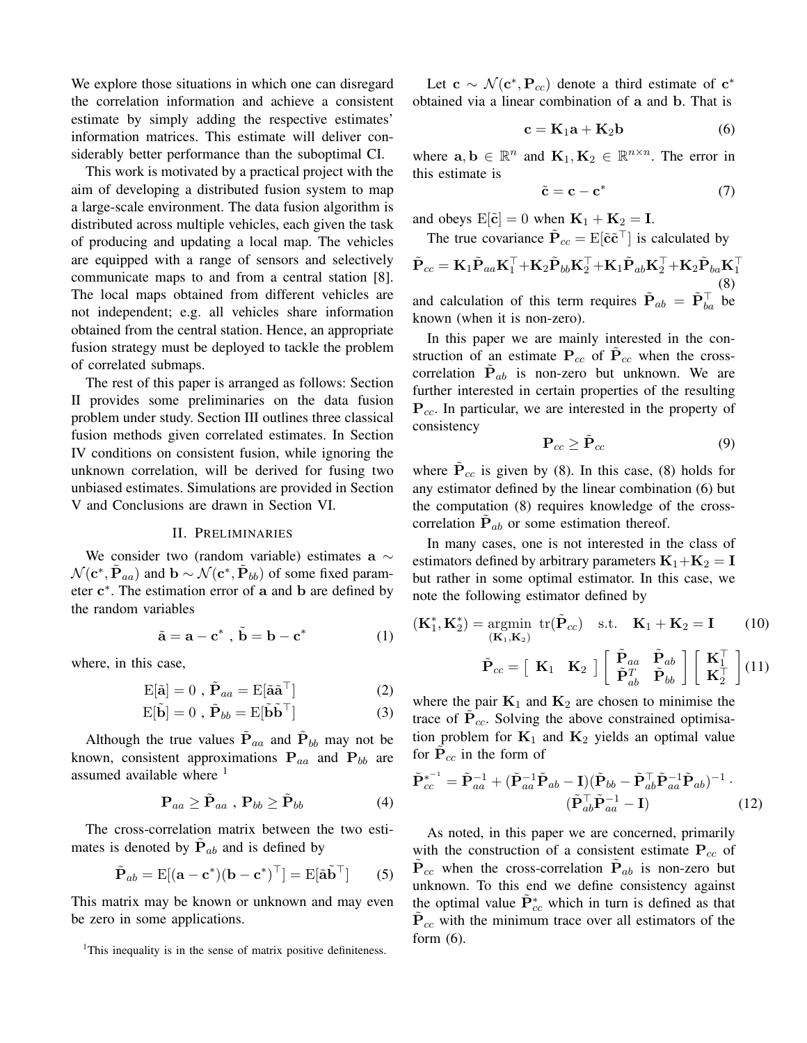We explore those situations in which one can disregard the correlation information and achieve a consistent estimate by simply adding the respective estimates' information matrices. This estimate will deliver considerably better performance than the suboptimal CI.

This work is motivated by a practical project with the aim of developing a distributed fusion system to map a large-scale environment. The data fusion algorithm is distributed across multiple vehicles, each given the task of producing and updating a local map. The vehicles are equipped with a range of sensors and selectively communicate maps to and from a central station [8]. The local maps obtained from different vehicles are not independent; e.g. all vehicles share information obtained from the central station. Hence, an appropriate fusion strategy must be deployed to tackle the problem of correlated submaps.

The rest of this paper is arranged as follows: Section II provides some preliminaries on the data fusion problem under study. Section III outlines three classical fusion methods given correlated estimates. In Section IV conditions on consistent fusion, while ignoring the unknown correlation, will be derived for fusing two unbiased estimates. Simulations are provided in Section V and Conclusions are drawn in Section VI.

#### II. PRELIMINARIES

We consider two (random variable) estimates a  $\sim$  $\mathcal{N}(\mathbf{c}^*, \mathbf{P}_{aa})$  and  $\mathbf{b} \sim \mathcal{N}(\mathbf{c}^*, \mathbf{P}_{bb})$  of some fixed parameter  $c^*$ . The estimation error of a and b are defined by the random variables

$$
\tilde{\mathbf{a}} = \mathbf{a} - \mathbf{c}^*, \ \tilde{\mathbf{b}} = \mathbf{b} - \mathbf{c}^* \tag{1}
$$

where, in this case,

$$
E[\tilde{a}] = 0 , \tilde{P}_{aa} = E[\tilde{a}\tilde{a}^{\top}]
$$
 (2)

$$
E[\tilde{\mathbf{b}}] = 0 , \tilde{\mathbf{P}}_{bb} = E[\tilde{\mathbf{b}}\tilde{\mathbf{b}}^{\top}]
$$
 (3)

Although the true values  $\tilde{P}_{aa}$  and  $\tilde{P}_{bb}$  may not be known, consistent approximations  $P_{aa}$  and  $P_{bb}$  are assumed available where  $<sup>1</sup>$ </sup>

$$
\mathbf{P}_{aa} \geq \tilde{\mathbf{P}}_{aa} , \, \mathbf{P}_{bb} \geq \tilde{\mathbf{P}}_{bb} \tag{4}
$$

The cross-correlation matrix between the two estimates is denoted by  $\tilde{P}_{ab}$  and is defined by

$$
\tilde{\mathbf{P}}_{ab} = \mathrm{E}[(\mathbf{a} - \mathbf{c}^*)(\mathbf{b} - \mathbf{c}^*)^\top] = \mathrm{E}[\tilde{\mathbf{a}}\tilde{\mathbf{b}}^\top] \qquad (5)
$$

This matrix may be known or unknown and may even be zero in some applications.

Let  $c \sim \mathcal{N}(c^*, P_{cc})$  denote a third estimate of  $c^*$ obtained via a linear combination of a and b. That is

$$
\mathbf{c} = \mathbf{K}_1 \mathbf{a} + \mathbf{K}_2 \mathbf{b} \tag{6}
$$

where  $\mathbf{a}, \mathbf{b} \in \mathbb{R}^n$  and  $\mathbf{K}_1, \mathbf{K}_2 \in \mathbb{R}^{n \times n}$ . The error in this estimate is

$$
\tilde{\mathbf{c}} = \mathbf{c} - \mathbf{c}^* \tag{7}
$$

and obeys  $E[\tilde{\mathbf{c}}]=0$  when  $\mathbf{K}_1 + \mathbf{K}_2 = \mathbf{I}$ .

The true covariance  $\tilde{P}_{cc} = E[\tilde{c}\tilde{c}^\top]$  is calculated by

 $\tilde{\mathbf{P}}_{cc} = \mathbf{K}_1 \tilde{\mathbf{P}}_{aa} \mathbf{K}_1^\top {+} \mathbf{K}_2 \tilde{\mathbf{P}}_{bb} \mathbf{K}_2^\top {+} \mathbf{K}_1 \tilde{\mathbf{P}}_{ab} \mathbf{K}_2^\top {+} \mathbf{K}_2 \tilde{\mathbf{P}}_{ba} \mathbf{K}_1^\top$ (8) and calculation of this term requires  $\tilde{\mathbf{P}}_{ab} = \tilde{\mathbf{P}}_{ba}^{\top}$  be known (when it is non-zero).

In this paper we are mainly interested in the construction of an estimate  $P_{cc}$  of  $P_{cc}$  when the crosscorrelation  $P_{ab}$  is non-zero but unknown. We are further interested in certain properties of the resulting P*cc*. In particular, we are interested in the property of consistency

$$
\mathbf{P}_{cc} \geq \tilde{\mathbf{P}}_{cc} \tag{9}
$$

where  $P_{cc}$  is given by (8). In this case, (8) holds for any estimator defined by the linear combination (6) but the computation (8) requires knowledge of the crosscorrelation  $P_{ab}$  or some estimation thereof.

In many cases, one is not interested in the class of estimators defined by arbitrary parameters  $K_1+K_2 = I$ but rather in some optimal estimator. In this case, we note the following estimator defined by

$$
(\mathbf{K}_1^*, \mathbf{K}_2^*) = \underset{(\mathbf{K}_1, \mathbf{K}_2)}{\text{argmin}} \text{ tr}(\tilde{\mathbf{P}}_{cc}) \quad \text{s.t.} \quad \mathbf{K}_1 + \mathbf{K}_2 = \mathbf{I} \tag{10}
$$

$$
\tilde{\mathbf{P}}_{cc} = \begin{bmatrix} \mathbf{K}_1 & \mathbf{K}_2 \end{bmatrix} \begin{bmatrix} \tilde{\mathbf{P}}_{aa} & \tilde{\mathbf{P}}_{ab} \\ \tilde{\mathbf{P}}_{ab}^T & \tilde{\mathbf{P}}_{bb} \end{bmatrix} \begin{bmatrix} \mathbf{K}_1^\top \\ \mathbf{K}_2^\top \end{bmatrix} (11)
$$

where the pair  $K_1$  and  $K_2$  are chosen to minimise the trace of  $P_{cc}$ . Solving the above constrained optimisation problem for  $K_1$  and  $K_2$  yields an optimal value for  $P_{cc}$  in the form of

$$
\tilde{\mathbf{P}}_{cc}^{*^{-1}} = \tilde{\mathbf{P}}_{aa}^{-1} + (\tilde{\mathbf{P}}_{aa}^{-1}\tilde{\mathbf{P}}_{ab} - \mathbf{I})(\tilde{\mathbf{P}}_{bb} - \tilde{\mathbf{P}}_{ab}^{\top}\tilde{\mathbf{P}}_{aa}^{-1}\tilde{\mathbf{P}}_{ab})^{-1} \cdot \n(\tilde{\mathbf{P}}_{ab}^{\top}\tilde{\mathbf{P}}_{aa}^{-1} - \mathbf{I})
$$
\n(12)

As noted, in this paper we are concerned, primarily with the construction of a consistent estimate  $P_{cc}$  of  $\dot{\mathbf{P}}_{cc}$  when the cross-correlation  $\dot{\mathbf{P}}_{ab}$  is non-zero but unknown. To this end we define consistency against the optimal value  $\tilde{P}_{cc}^{*}$  which in turn is defined as that  $P_{cc}$  with the minimum trace over all estimators of the form  $(6)$ .

<sup>&</sup>lt;sup>1</sup>This inequality is in the sense of matrix positive definiteness.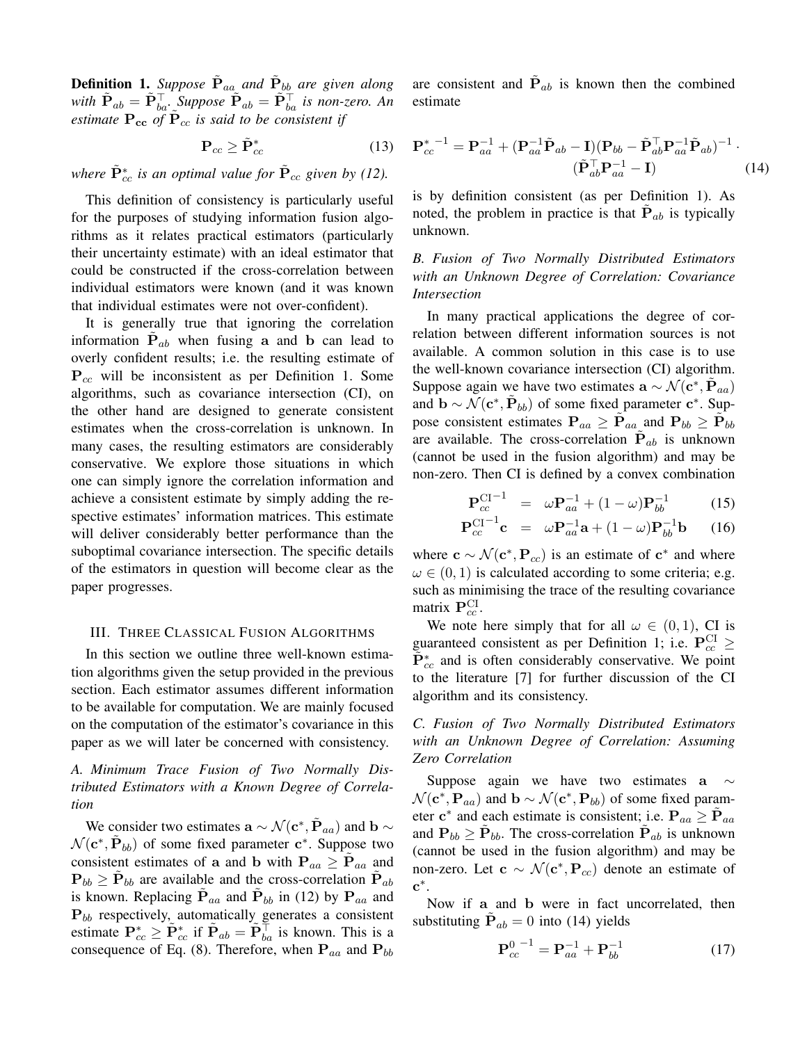**Definition 1.** Suppose  $P_{aa}$  and  $P_{bb}$  are given along *with*  $\tilde{\mathbf{P}}_{ab} = \tilde{\mathbf{P}}_{ba}^{\top}$ . *Suppose*  $\tilde{\mathbf{P}}_{ab} = \tilde{\mathbf{P}}_{ba}^{\top}$  *is non-zero. An estimate*  $P_{cc}$  *of*  $P_{cc}$  *is said to be consistent if* 

$$
\mathbf{P}_{cc} \ge \tilde{\mathbf{P}}_{cc}^* \tag{13}
$$

*where*  $\tilde{P}^*_{cc}$  *is an optimal value for*  $\tilde{P}_{cc}$  *given by (12).* 

This definition of consistency is particularly useful for the purposes of studying information fusion algorithms as it relates practical estimators (particularly their uncertainty estimate) with an ideal estimator that could be constructed if the cross-correlation between individual estimators were known (and it was known that individual estimates were not over-confident).

It is generally true that ignoring the correlation information  $P_{ab}$  when fusing a and b can lead to overly confident results; i.e. the resulting estimate of P*cc* will be inconsistent as per Definition 1. Some algorithms, such as covariance intersection (CI), on the other hand are designed to generate consistent estimates when the cross-correlation is unknown. In many cases, the resulting estimators are considerably conservative. We explore those situations in which one can simply ignore the correlation information and achieve a consistent estimate by simply adding the respective estimates' information matrices. This estimate will deliver considerably better performance than the suboptimal covariance intersection. The specific details of the estimators in question will become clear as the paper progresses.

#### III. THREE CLASSICAL FUSION ALGORITHMS

In this section we outline three well-known estimation algorithms given the setup provided in the previous section. Each estimator assumes different information to be available for computation. We are mainly focused on the computation of the estimator's covariance in this paper as we will later be concerned with consistency.

# *A. Minimum Trace Fusion of Two Normally Distributed Estimators with a Known Degree of Correlation*

We consider two estimates  $\mathbf{a} \sim \mathcal{N}(\mathbf{c}^*, \mathbf{P}_{aa})$  and  $\mathbf{b} \sim$  $\mathcal{N}(\mathbf{c}^*, \mathbf{P}_{bb})$  of some fixed parameter  $\mathbf{c}^*$ . Suppose two consistent estimates of a and b with  $P_{aa} \geq P_{aa}$  and  $P_{bb} \ge P_{bb}$  are available and the cross-correlation  $P_{ab}$ is known. Replacing  $P_{aa}$  and  $P_{bb}$  in (12) by  $P_{aa}$  and P*bb* respectively, automatically generates a consistent estimate  $\mathbf{P}_{cc}^* \geq \tilde{\mathbf{P}}_{cc}^*$  if  $\tilde{\mathbf{P}}_{ab} = \tilde{\mathbf{P}}_{ba}^{\top}$  is known. This is a consequence of Eq. (8). Therefore, when  $P_{aa}$  and  $P_{bb}$ 

are consistent and  $P_{ab}$  is known then the combined estimate

$$
\mathbf{P}_{cc}^{* - 1} = \mathbf{P}_{aa}^{-1} + (\mathbf{P}_{aa}^{-1}\tilde{\mathbf{P}}_{ab} - \mathbf{I})(\mathbf{P}_{bb} - \tilde{\mathbf{P}}_{ab}^{\top}\mathbf{P}_{aa}^{-1}\tilde{\mathbf{P}}_{ab})^{-1} \cdot (\tilde{\mathbf{P}}_{ab}^{\top}\mathbf{P}_{aa}^{-1} - \mathbf{I})
$$
 (14)

is by definition consistent (as per Definition 1). As noted, the problem in practice is that  $P_{ab}$  is typically unknown.

*B. Fusion of Two Normally Distributed Estimators with an Unknown Degree of Correlation: Covariance Intersection*

In many practical applications the degree of correlation between different information sources is not available. A common solution in this case is to use the well-known covariance intersection (CI) algorithm. Suppose again we have two estimates  $\mathbf{a} \sim \mathcal{N}(\mathbf{c}^*, \mathbf{P}_{aa})$ and  $\mathbf{b} \sim \mathcal{N}(\mathbf{c}^*, \mathbf{P}_{bb})$  of some fixed parameter  $\mathbf{c}^*$ . Suppose consistent estimates  $P_{aa} \geq P_{aa}$  and  $P_{bb} \geq P_{bb}$ are available. The cross-correlation  $P_{ab}$  is unknown (cannot be used in the fusion algorithm) and may be non-zero. Then CI is defined by a convex combination

$$
\mathbf{P}_{cc}^{\text{CI}-1} = \omega \mathbf{P}_{aa}^{-1} + (1 - \omega) \mathbf{P}_{bb}^{-1} \tag{15}
$$

$$
\mathbf{P}_{cc}^{\text{CI}-1}\mathbf{c} = \omega \mathbf{P}_{aa}^{-1}\mathbf{a} + (1-\omega)\mathbf{P}_{bb}^{-1}\mathbf{b} \qquad (16)
$$

where  $c \sim \mathcal{N}(c^*, P_{cc})$  is an estimate of  $c^*$  and where  $\omega \in (0, 1)$  is calculated according to some criteria; e.g. such as minimising the trace of the resulting covariance matrix  $P_{cc}^{\text{CI}}$ .

We note here simply that for all  $\omega \in (0, 1)$ , CI is guaranteed consistent as per Definition 1; i.e.  $P_{cc}^{CI} \ge$  $\tilde{P}^*_{cc}$  and is often considerably conservative. We point to the literature [7] for further discussion of the CI algorithm and its consistency.

*C. Fusion of Two Normally Distributed Estimators with an Unknown Degree of Correlation: Assuming Zero Correlation*

Suppose again we have two estimates a  $\sim$  $\mathcal{N}(\mathbf{c}^*, \mathbf{P}_{aa})$  and  $\mathbf{b} \sim \mathcal{N}(\mathbf{c}^*, \mathbf{P}_{bb})$  of some fixed parameter  $c^*$  and each estimate is consistent; i.e.  $P_{aa} \ge P_{aa}$ and  $P_{bb} \ge P_{bb}$ . The cross-correlation  $P_{ab}$  is unknown (cannot be used in the fusion algorithm) and may be non-zero. Let  $c \sim \mathcal{N}(c^*, P_{cc})$  denote an estimate of  $\mathbf{c}^*$ .

Now if a and b were in fact uncorrelated, then substituting  $\dot{\mathbf{P}}_{ab} = 0$  into (14) yields

$$
\mathbf{P}_{cc}^{0\,-1} = \mathbf{P}_{aa}^{-1} + \mathbf{P}_{bb}^{-1} \tag{17}
$$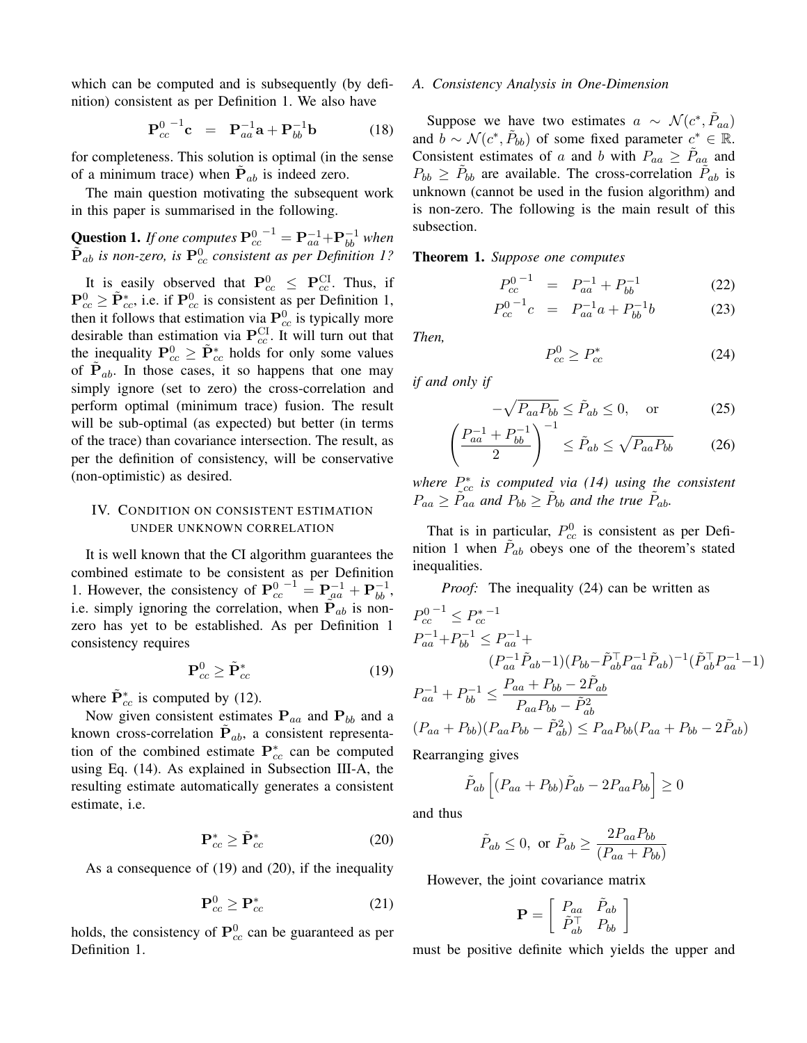which can be computed and is subsequently (by definition) consistent as per Definition 1. We also have

$$
\mathbf{P}_{cc}^{0}\mathbf{c} = \mathbf{P}_{aa}^{-1}\mathbf{a} + \mathbf{P}_{bb}^{-1}\mathbf{b} \tag{18}
$$

for completeness. This solution is optimal (in the sense of a minimum trace) when  $P_{ab}$  is indeed zero.

The main question motivating the subsequent work in this paper is summarised in the following.

**Question 1.** If one computes 
$$
\mathbf{P}_{cc}^{0^{-1}} = \mathbf{P}_{aa}^{-1} + \mathbf{P}_{bb}^{-1}
$$
 when  $\tilde{\mathbf{P}}_{ab}$  is non-zero, is  $\mathbf{P}_{cc}^{0}$  consistent as per Definition 1?

It is easily observed that  $P_{cc}^0 \leq P_{cc}^{CI}$ . Thus, if  $\mathbf{P}_{cc}^0 \geq \tilde{\mathbf{P}}_{cc}^*$ , i.e. if  $\mathbf{P}_{cc}^0$  is consistent as per Definition 1, then it follows that estimation via  $\mathbf{P}_{cc}^0$  is typically more desirable than estimation via  $P_{cc}^{\text{CI}}$ . It will turn out that the inequality  $P_{cc}^0 \ge \tilde{P}_{cc}^*$  holds for only some values of  $P_{ab}$ . In those cases, it so happens that one may simply ignore (set to zero) the cross-correlation and perform optimal (minimum trace) fusion. The result will be sub-optimal (as expected) but better (in terms of the trace) than covariance intersection. The result, as per the definition of consistency, will be conservative (non-optimistic) as desired.

## IV. CONDITION ON CONSISTENT ESTIMATION UNDER UNKNOWN CORRELATION

It is well known that the CI algorithm guarantees the combined estimate to be consistent as per Definition 1. However, the consistency of  $P_{cc}^{0^{-1}} = P_{aa}^{-1} + P_{bb}^{-1}$ , i.e. simply ignoring the correlation, when  $P_{ab}$  is nonzero has yet to be established. As per Definition 1 consistency requires

$$
\mathbf{P}_{cc}^0 \ge \tilde{\mathbf{P}}_{cc}^* \tag{19}
$$

where  $\tilde{P}_{cc}^{*}$  is computed by (12).

Now given consistent estimates P*aa* and P*bb* and a known cross-correlation  $P_{ab}$ , a consistent representation of the combined estimate  $P_{cc}^{*}$  can be computed using Eq. (14). As explained in Subsection III-A, the resulting estimate automatically generates a consistent estimate, i.e.

$$
\mathbf{P}_{cc}^* \ge \tilde{\mathbf{P}}_{cc}^* \tag{20}
$$

As a consequence of (19) and (20), if the inequality

$$
\mathbf{P}_{cc}^0 \ge \mathbf{P}_{cc}^* \tag{21}
$$

holds, the consistency of  $P_{cc}^0$  can be guaranteed as per Definition 1.

#### *A. Consistency Analysis in One-Dimension*

Suppose we have two estimates  $a \sim \mathcal{N}(c^*, P_{aa})$ and  $b \sim \mathcal{N}(c^*, \dot{P}_{bb})$  of some fixed parameter  $c^* \in \mathbb{R}$ . Consistent estimates of *a* and *b* with  $P_{aa} \geq P_{aa}$  and  $P_{bb} \geq P_{bb}$  are available. The cross-correlation  $P_{ab}$  is unknown (cannot be used in the fusion algorithm) and is non-zero. The following is the main result of this subsection.

Theorem 1. *Suppose one computes*

$$
P_{cc}^{0\,-1} = P_{aa}^{-1} + P_{bb}^{-1} \tag{22}
$$

$$
P_{cc}^{0^{-1}}c = P_{aa}^{-1}a + P_{bb}^{-1}b \tag{23}
$$

*Then,*

$$
P_{cc}^0 \ge P_{cc}^* \tag{24}
$$

*if and only if*

$$
-\sqrt{P_{aa}P_{bb}} \le \tilde{P}_{ab} \le 0, \quad \text{or} \quad (25)
$$

$$
\left(\frac{P_{aa}^{-1} + P_{bb}^{-1}}{2}\right)^{-1} \le \tilde{P}_{ab} \le \sqrt{P_{aa}P_{bb}} \tag{26}
$$

*where P*⇤ *cc is computed via (14) using the consistent*  $P_{aa} \geq \tilde{P}_{aa}$  *and*  $P_{bb} \geq \tilde{P}_{bb}$  *and the true*  $\tilde{P}_{ab}$ *.* 

That is in particular,  $P_{cc}^0$  is consistent as per Definition 1 when  $\tilde{P}_{ab}$  obeys one of the theorem's stated inequalities.

*Proof:* The inequality (24) can be written as

$$
P_{cc}^{0-1} \le P_{cc}^{* - 1}
$$
  
\n
$$
P_{aa}^{-1} + P_{bb}^{-1} \le P_{aa}^{-1} +
$$
  
\n
$$
(P_{aa}^{-1} \tilde{P}_{ab} - 1)(P_{bb} - \tilde{P}_{ab}^{-1} P_{aa})^{-1} (\tilde{P}_{ab}^{-1} P_{aa}^{-1} - 1)
$$
  
\n
$$
P_{aa}^{-1} + P_{bb}^{-1} \le \frac{P_{aa} + P_{bb} - 2\tilde{P}_{ab}}{P_{aa}P_{bb} - \tilde{P}_{ab}^2}
$$
  
\n
$$
(P_{aa} + P_{bb})(P_{aa}P_{bb} - \tilde{P}_{ab}^2) \le P_{aa}P_{bb}(P_{aa} + P_{bb} - 2\tilde{P}_{ab})
$$
  
\nRearranging gives

Rearranging gives

$$
\tilde{P}_{ab}\left[ (P_{aa} + P_{bb})\tilde{P}_{ab} - 2P_{aa}P_{bb} \right] \ge 0
$$

and thus

$$
\tilde{P}_{ab} \le 0, \text{ or } \tilde{P}_{ab} \ge \frac{2P_{aa}P_{bb}}{(P_{aa} + P_{bb})}
$$

However, the joint covariance matrix

$$
\mathbf{P} = \left[ \begin{array}{cc} P_{aa} & \tilde{P}_{ab} \\ \tilde{P}_{ab}^\top & P_{bb} \end{array} \right]
$$

must be positive definite which yields the upper and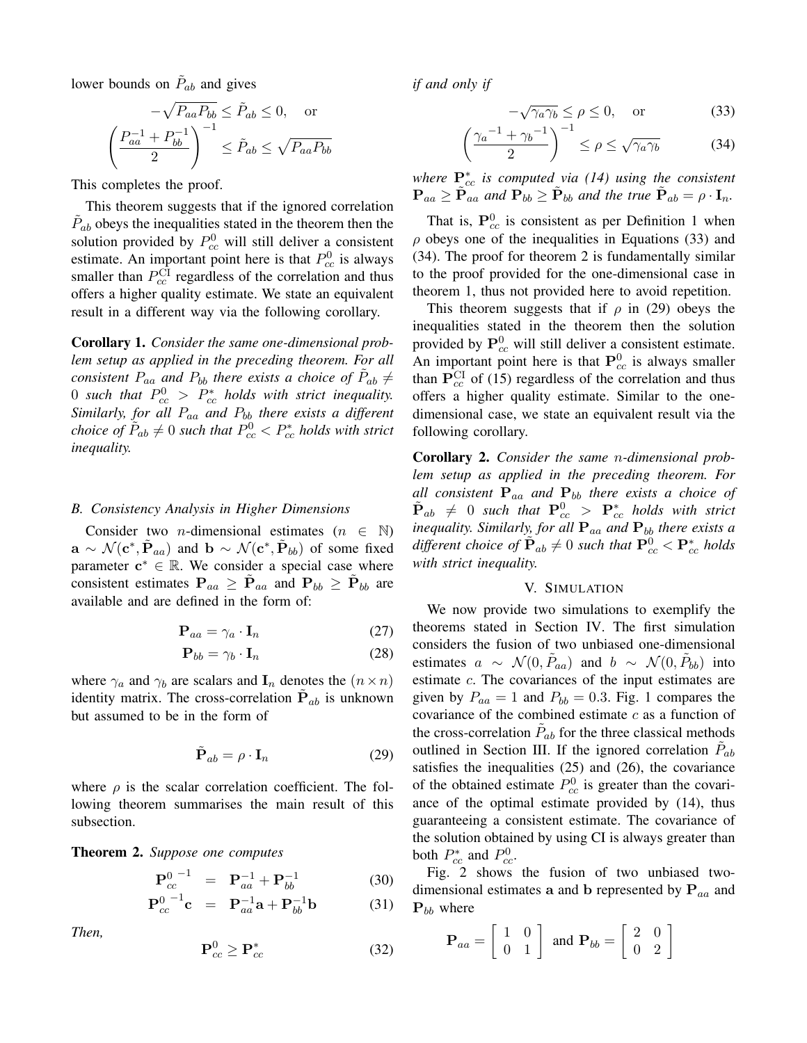lower bounds on  $\tilde{P}_{ab}$  and gives

$$
-\sqrt{P_{aa}P_{bb}} \le \tilde{P}_{ab} \le 0, \text{ or}
$$

$$
\left(\frac{P_{aa}^{-1} + P_{bb}^{-1}}{2}\right)^{-1} \le \tilde{P}_{ab} \le \sqrt{P_{aa}P_{bb}}
$$

This completes the proof.

This theorem suggests that if the ignored correlation  $P_{ab}$  obeys the inequalities stated in the theorem then the solution provided by  $P_{cc}^0$  will still deliver a consistent estimate. An important point here is that  $P_{cc}^0$  is always smaller than  $P_{cc}^{\text{CI}}$  regardless of the correlation and thus offers a higher quality estimate. We state an equivalent result in a different way via the following corollary.

Corollary 1. *Consider the same one-dimensional problem setup as applied in the preceding theorem. For all consistent*  $P_{aa}$  *and*  $P_{bb}$  *there exists a choice of*  $P_{ab} \neq$ 0 such that  $P_{cc}^0 > P_{cc}^*$  holds with strict inequality. *Similarly, for all Paa and Pbb there exists a different choice of*  $\tilde{P}_{ab} \neq 0$  *such that*  $P_{cc}^0 < P_{cc}^*$  *holds with strict inequality.*

#### *B. Consistency Analysis in Higher Dimensions*

Consider two *n*-dimensional estimates  $(n \in \mathbb{N})$  $\mathbf{a} \sim \mathcal{N}(\mathbf{c}^*, \mathbf{P}_{aa})$  and  $\mathbf{b} \sim \mathcal{N}(\mathbf{c}^*, \mathbf{P}_{bb})$  of some fixed parameter  $c^* \in \mathbb{R}$ . We consider a special case where consistent estimates  $P_{aa} \geq \tilde{P}_{aa}$  and  $P_{bb} \geq \tilde{P}_{bb}$  are available and are defined in the form of:

$$
\mathbf{P}_{aa} = \gamma_a \cdot \mathbf{I}_n \tag{27}
$$

$$
\mathbf{P}_{bb} = \gamma_b \cdot \mathbf{I}_n \tag{28}
$$

where  $\gamma_a$  and  $\gamma_b$  are scalars and  $\mathbf{I}_n$  denotes the  $(n \times n)$ identity matrix. The cross-correlation  $P_{ab}$  is unknown but assumed to be in the form of

$$
\tilde{\mathbf{P}}_{ab} = \rho \cdot \mathbf{I}_n \tag{29}
$$

where  $\rho$  is the scalar correlation coefficient. The following theorem summarises the main result of this subsection.

Theorem 2. *Suppose one computes*

$$
\mathbf{P}_{cc}^{0\ -1} \quad = \quad \mathbf{P}_{aa}^{-1} + \mathbf{P}_{bb}^{-1} \tag{30}
$$

$$
\mathbf{P}_{cc}^{0^{-1}}\mathbf{c} = \mathbf{P}_{aa}^{-1}\mathbf{a} + \mathbf{P}_{bb}^{-1}\mathbf{b}
$$
 (31)

*Then,*

$$
\mathbf{P}_{cc}^0 \ge \mathbf{P}_{cc}^* \tag{32}
$$

*if and only if*

$$
-\sqrt{\gamma_a \gamma_b} \le \rho \le 0, \quad \text{or} \tag{33}
$$

$$
\left(\frac{\gamma_a^{-1} + \gamma_b^{-1}}{2}\right)^{-1} \le \rho \le \sqrt{\gamma_a \gamma_b} \tag{34}
$$

*where*  $P_{cc}^{*}$  *is computed via (14) using the consistent*  $\mathbf{P}_{aa} \geq \tilde{\mathbf{P}}_{aa}$  and  $\mathbf{P}_{bb} \geq \tilde{\mathbf{P}}_{bb}$  and the true  $\tilde{\mathbf{P}}_{ab} = \rho \cdot \mathbf{I}_n$ .

That is,  $P_{cc}^0$  is consistent as per Definition 1 when  $\rho$  obeys one of the inequalities in Equations (33) and (34). The proof for theorem 2 is fundamentally similar to the proof provided for the one-dimensional case in theorem 1, thus not provided here to avoid repetition.

This theorem suggests that if  $\rho$  in (29) obeys the inequalities stated in the theorem then the solution provided by  $P_{cc}^0$  will still deliver a consistent estimate. An important point here is that  $P_{cc}^0$  is always smaller than  $P_{cc}^{CI}$  of (15) regardless of the correlation and thus offers a higher quality estimate. Similar to the onedimensional case, we state an equivalent result via the following corollary.

Corollary 2. *Consider the same n-dimensional problem setup as applied in the preceding theorem. For all consistent* P*aa and* P*bb there exists a choice of*  $\tilde{\mathbf{P}}_{ab}$   $\neq$  0 such that  $\mathbf{P}_{cc}^{0}$   $>$   $\mathbf{P}_{cc}^{*}$  holds with strict *inequality. Similarly, for all*  $P_{aa}$  *and*  $P_{bb}$  *there exists a*  $d$ *ifferent choice of*  $\tilde{\mathbf{P}}_{ab} \neq 0$  *such that*  $\mathbf{P}_{cc}^0 < \mathbf{P}_{cc}^*$  holds *with strict inequality.*

## V. SIMULATION

We now provide two simulations to exemplify the theorems stated in Section IV. The first simulation considers the fusion of two unbiased one-dimensional estimates  $a \sim \mathcal{N}(0, P_{aa})$  and  $b \sim \mathcal{N}(0, P_{bb})$  into estimate *c*. The covariances of the input estimates are given by  $P_{aa} = 1$  and  $P_{bb} = 0.3$ . Fig. 1 compares the covariance of the combined estimate *c* as a function of the cross-correlation  $P_{ab}$  for the three classical methods outlined in Section III. If the ignored correlation  $P_{ab}$ satisfies the inequalities (25) and (26), the covariance of the obtained estimate  $P_{cc}^0$  is greater than the covariance of the optimal estimate provided by (14), thus guaranteeing a consistent estimate. The covariance of the solution obtained by using CI is always greater than both  $P_{cc}^*$  and  $P_{cc}^0$ .

Fig. 2 shows the fusion of two unbiased twodimensional estimates a and b represented by P*aa* and P*bb* where

$$
\mathbf{P}_{aa} = \left[ \begin{array}{cc} 1 & 0 \\ 0 & 1 \end{array} \right] \text{ and } \mathbf{P}_{bb} = \left[ \begin{array}{cc} 2 & 0 \\ 0 & 2 \end{array} \right]
$$